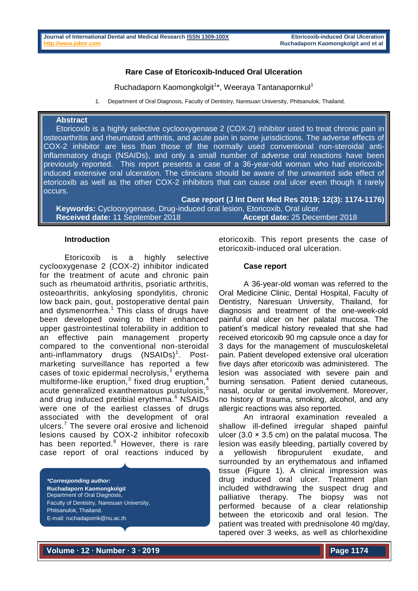# **Rare Case of Etoricoxib-Induced Oral Ulceration**

Ruchadaporn Kaomongkolgit<sup>1\*</sup>, Weeraya Tantanapornkul<sup>1</sup>

1. Department of Oral Diagnosis, Faculty of Dentistry, Naresuan University, Phitsanulok, Thailand.

### **Abstract**

Etoricoxib is a highly selective cyclooxygenase 2 (COX-2) inhibitor used to treat chronic pain in osteoarthritis and rheumatoid arthritis, and acute pain in some jurisdictions. The adverse effects of COX-2 inhibitor are less than those of the normally used conventional non-steroidal antiinflammatory drugs (NSAIDs), and only a small number of adverse oral reactions have been previously reported. This report presents a case of a 36-year-old woman who had etoricoxibinduced extensive oral ulceration. The clinicians should be aware of the unwanted side effect of etoricoxib as well as the other COX-2 inhibitors that can cause oral ulcer even though it rarely occurs.

**Case report (J Int Dent Med Res 2019; 12(3): 1174-1176) Keywords:** Cyclooxygenase, Drug-induced oral lesion, Etoricoxib, Oral ulcer. **Received date:** 11 September 2018 **Accept date:** 25 December 2018

## **Introduction**

Etoricoxib is a highly selective cyclooxygenase 2 (COX-2) inhibitor indicated for the treatment of acute and chronic pain such as rheumatoid arthritis, psoriatic arthritis, osteoarthritis, ankylosing spondylitis, chronic low back pain, gout, postoperative dental pain and dysmenorrhea.<sup>1</sup> This class of drugs have been developed owing to their enhanced upper gastrointestinal tolerability in addition to an effective pain management property compared to the conventional non-steroidal anti-inflammatory drugs (NSAIDs)<sup>1</sup>. Postmarketing surveillance has reported a few cases of toxic epidermal necrolysis, $<sup>2</sup>$  erythema</sup> multiforme-like eruption, $3$  fixed drug eruption, $4$ acute generalized exanthematous pustulosis.<sup>5</sup> and drug induced pretibial erythema.<sup>6</sup> NSAIDs were one of the earliest classes of drugs associated with the development of oral ulcers.<sup>7</sup> The severe oral erosive and lichenoid lesions caused by COX-2 inhibitor rofecoxib has been reported.<sup>8</sup> However, there is rare case report of oral reactions induced by

*\*Corresponding author:* **Ruchadaporn Kaomongkolgit** Department of Oral Diagnosis, Faculty of Dentistry, Naresuan University, Phitsanulok, Thailand. E-mail: ruchadapornk@nu.ac.th

etoricoxib. This report presents the case of etoricoxib-induced oral ulceration.

### **Case report**

A 36-year-old woman was referred to the Oral Medicine Clinic, Dental Hospital, Faculty of Dentistry, Naresuan University, Thailand, for diagnosis and treatment of the one-week-old painful oral ulcer on her palatal mucosa. The patient's medical history revealed that she had received etoricoxib 90 mg capsule once a day for 3 days for the management of musculoskeletal pain. Patient developed extensive oral ulceration five days after etoricoxib was administered. The lesion was associated with severe pain and burning sensation. Patient denied cutaneous, nasal, ocular or genital involvement. Moreover, no history of trauma, smoking, alcohol, and any allergic reactions was also reported.

An intraoral examination revealed a shallow ill-defined irregular shaped painful ulcer  $(3.0 \times 3.5 \text{ cm})$  on the palatal mucosa. The lesion was easily bleeding, partially covered by a yellowish fibropurulent exudate, and surrounded by an erythematous and inflamed tissue (Figure 1). A clinical impression was drug induced oral ulcer. Treatment plan included withdrawing the suspect drug and palliative therapy. The biopsy was not performed because of a clear relationship between the etoricoxib and oral lesion. The patient was treated with prednisolone 40 mg/day, tapered over 3 weeks, as well as chlorhexidine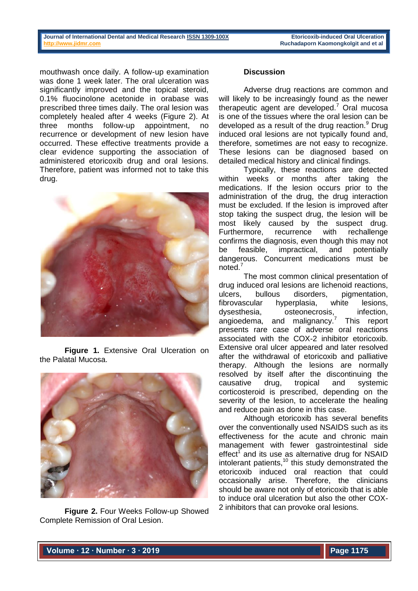mouthwash once daily. A follow-up examination was done 1 week later. The oral ulceration was significantly improved and the topical steroid. 0.1% fluocinolone acetonide in orabase was prescribed three times daily. The oral lesion was completely healed after 4 weeks (Figure 2). At three months follow-up appointment, no recurrence or development of new lesion have occurred. These effective treatments provide a clear evidence supporting the association of administered etoricoxib drug and oral lesions. Therefore, patient was informed not to take this drug.



**Figure 1.** Extensive Oral Ulceration on the Palatal Mucosa.



**Figure 2.** Four Weeks Follow-up Showed Complete Remission of Oral Lesion.

# **Discussion**

Adverse drug reactions are common and will likely to be increasingly found as the newer therapeutic agent are developed.<sup>7</sup> Oral mucosa is one of the tissues where the oral lesion can be developed as a result of the drug reaction. $9$  Drug induced oral lesions are not typically found and, therefore, sometimes are not easy to recognize. These lesions can be diagnosed based on detailed medical history and clinical findings.

Typically, these reactions are detected within weeks or months after taking the medications. If the lesion occurs prior to the administration of the drug, the drug interaction must be excluded. If the lesion is improved after stop taking the suspect drug, the lesion will be most likely caused by the suspect drug. Furthermore, recurrence with rechallenge confirms the diagnosis, even though this may not be feasible, impractical, and potentially dangerous. Concurrent medications must be noted.<sup>7</sup>

The most common clinical presentation of drug induced oral lesions are lichenoid reactions, ulcers, bullous disorders, pigmentation, fibrovascular hyperplasia, white lesions, dysesthesia, osteonecrosis, infection, angioedema, and malignancy.<sup>7</sup> This report presents rare case of adverse oral reactions associated with the COX-2 inhibitor etoricoxib. Extensive oral ulcer appeared and later resolved after the withdrawal of etoricoxib and palliative therapy. Although the lesions are normally resolved by itself after the discontinuing the causative drug, tropical and systemic corticosteroid is prescribed, depending on the severity of the lesion, to accelerate the healing and reduce pain as done in this case.

Although etoricoxib has several benefits over the conventionally used NSAIDS such as its effectiveness for the acute and chronic main management with fewer gastrointestinal side effect<sup> $\uparrow$ </sup> and its use as alternative drug for NSAID intolerant patients, $10$  this study demonstrated the etoricoxib induced oral reaction that could occasionally arise. Therefore, the clinicians should be aware not only of etoricoxib that is able to induce oral ulceration but also the other COX-2 inhibitors that can provoke oral lesions.

**Volume ∙ 12 ∙ Number ∙ 3 ∙ 2019**